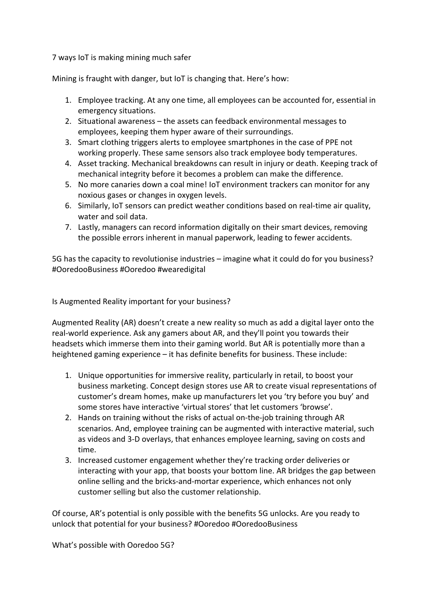7 ways IoT is making mining much safer

Mining is fraught with danger, but IoT is changing that. Here's how:

- 1. Employee tracking. At any one time, all employees can be accounted for, essential in emergency situations.
- 2. Situational awareness the assets can feedback environmental messages to employees, keeping them hyper aware of their surroundings.
- 3. Smart clothing triggers alerts to employee smartphones in the case of PPE not working properly. These same sensors also track employee body temperatures.
- 4. Asset tracking. Mechanical breakdowns can result in injury or death. Keeping track of mechanical integrity before it becomes a problem can make the difference.
- 5. No more canaries down a coal mine! IoT environment trackers can monitor for any noxious gases or changes in oxygen levels.
- 6. Similarly, IoT sensors can predict weather conditions based on real-time air quality, water and soil data.
- 7. Lastly, managers can record information digitally on their smart devices, removing the possible errors inherent in manual paperwork, leading to fewer accidents.

5G has the capacity to revolutionise industries – imagine what it could do for you business? #OoredooBusiness #Ooredoo #wearedigital

Is Augmented Reality important for your business?

Augmented Reality (AR) doesn't create a new reality so much as add a digital layer onto the real-world experience. Ask any gamers about AR, and they'll point you towards their headsets which immerse them into their gaming world. But AR is potentially more than a heightened gaming experience – it has definite benefits for business. These include:

- 1. Unique opportunities for immersive reality, particularly in retail, to boost your business marketing. Concept design stores use AR to create visual representations of customer's dream homes, make up manufacturers let you 'try before you buy' and some stores have interactive 'virtual stores' that let customers 'browse'.
- 2. Hands on training without the risks of actual on-the-job training through AR scenarios. And, employee training can be augmented with interactive material, such as videos and 3-D overlays, that enhances employee learning, saving on costs and time.
- 3. Increased customer engagement whether they're tracking order deliveries or interacting with your app, that boosts your bottom line. AR bridges the gap between online selling and the bricks-and-mortar experience, which enhances not only customer selling but also the customer relationship.

Of course, AR's potential is only possible with the benefits 5G unlocks. Are you ready to unlock that potential for your business? #Ooredoo #OoredooBusiness

What's possible with Ooredoo 5G?